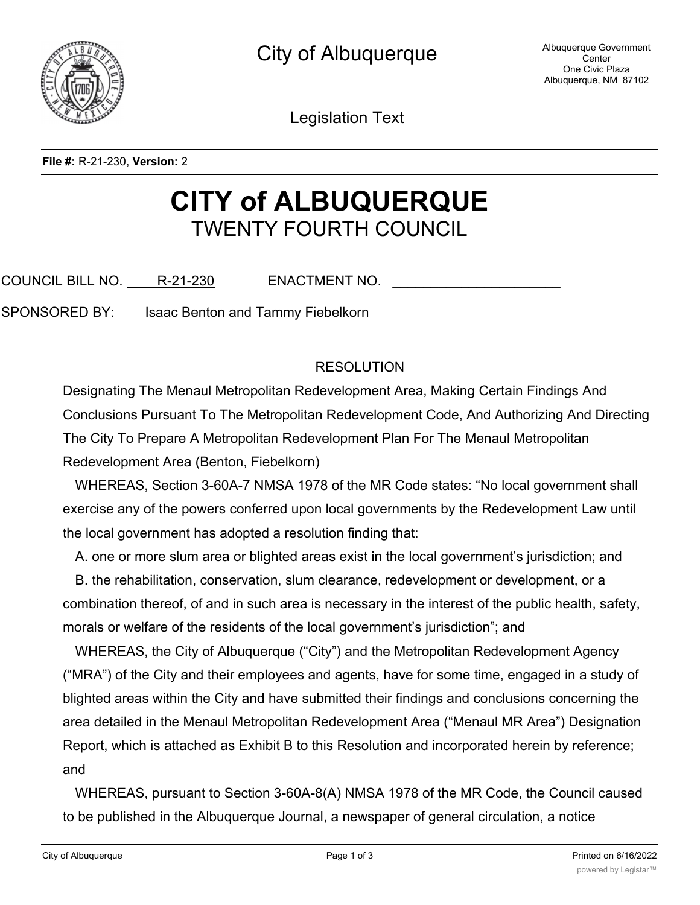

Legislation Text

**File #:** R-21-230, **Version:** 2

## **CITY of ALBUQUERQUE** TWENTY FOURTH COUNCIL

COUNCIL BILL NO. R-21-230 ENACTMENT NO.

SPONSORED BY: Isaac Benton and Tammy Fiebelkorn

## RESOLUTION

Designating The Menaul Metropolitan Redevelopment Area, Making Certain Findings And Conclusions Pursuant To The Metropolitan Redevelopment Code, And Authorizing And Directing The City To Prepare A Metropolitan Redevelopment Plan For The Menaul Metropolitan Redevelopment Area (Benton, Fiebelkorn)

WHEREAS, Section 3-60A-7 NMSA 1978 of the MR Code states: "No local government shall exercise any of the powers conferred upon local governments by the Redevelopment Law until the local government has adopted a resolution finding that:

A. one or more slum area or blighted areas exist in the local government's jurisdiction; and

B. the rehabilitation, conservation, slum clearance, redevelopment or development, or a combination thereof, of and in such area is necessary in the interest of the public health, safety, morals or welfare of the residents of the local government's jurisdiction"; and

WHEREAS, the City of Albuquerque ("City") and the Metropolitan Redevelopment Agency ("MRA") of the City and their employees and agents, have for some time, engaged in a study of blighted areas within the City and have submitted their findings and conclusions concerning the area detailed in the Menaul Metropolitan Redevelopment Area ("Menaul MR Area") Designation Report, which is attached as Exhibit B to this Resolution and incorporated herein by reference; and

WHEREAS, pursuant to Section 3-60A-8(A) NMSA 1978 of the MR Code, the Council caused to be published in the Albuquerque Journal, a newspaper of general circulation, a notice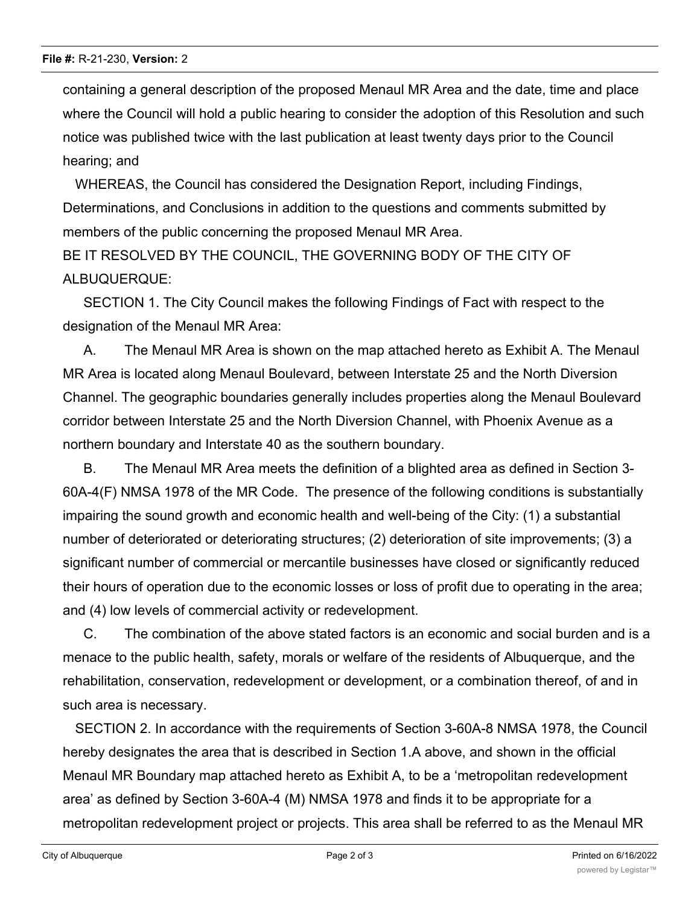containing a general description of the proposed Menaul MR Area and the date, time and place where the Council will hold a public hearing to consider the adoption of this Resolution and such notice was published twice with the last publication at least twenty days prior to the Council hearing; and

WHEREAS, the Council has considered the Designation Report, including Findings, Determinations, and Conclusions in addition to the questions and comments submitted by members of the public concerning the proposed Menaul MR Area.

BE IT RESOLVED BY THE COUNCIL, THE GOVERNING BODY OF THE CITY OF ALBUQUERQUE:

SECTION 1. The City Council makes the following Findings of Fact with respect to the designation of the Menaul MR Area:

A. The Menaul MR Area is shown on the map attached hereto as Exhibit A. The Menaul MR Area is located along Menaul Boulevard, between Interstate 25 and the North Diversion Channel. The geographic boundaries generally includes properties along the Menaul Boulevard corridor between Interstate 25 and the North Diversion Channel, with Phoenix Avenue as a northern boundary and Interstate 40 as the southern boundary.

B. The Menaul MR Area meets the definition of a blighted area as defined in Section 3- 60A-4(F) NMSA 1978 of the MR Code. The presence of the following conditions is substantially impairing the sound growth and economic health and well-being of the City: (1) a substantial number of deteriorated or deteriorating structures; (2) deterioration of site improvements; (3) a significant number of commercial or mercantile businesses have closed or significantly reduced their hours of operation due to the economic losses or loss of profit due to operating in the area; and (4) low levels of commercial activity or redevelopment.

C. The combination of the above stated factors is an economic and social burden and is a menace to the public health, safety, morals or welfare of the residents of Albuquerque, and the rehabilitation, conservation, redevelopment or development, or a combination thereof, of and in such area is necessary.

SECTION 2. In accordance with the requirements of Section 3-60A-8 NMSA 1978, the Council hereby designates the area that is described in Section 1.A above, and shown in the official Menaul MR Boundary map attached hereto as Exhibit A, to be a 'metropolitan redevelopment area' as defined by Section 3-60A-4 (M) NMSA 1978 and finds it to be appropriate for a metropolitan redevelopment project or projects. This area shall be referred to as the Menaul MR